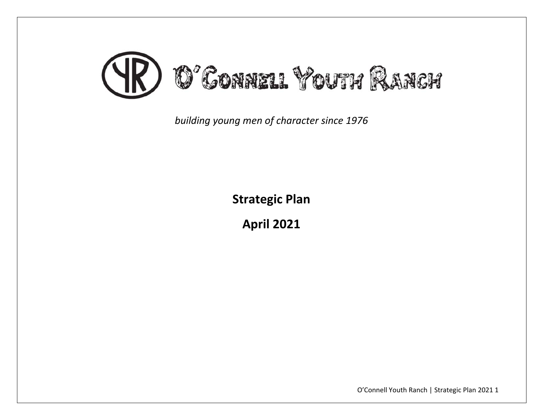

*building young men of character since 1976*

**Strategic Plan**

**April 2021**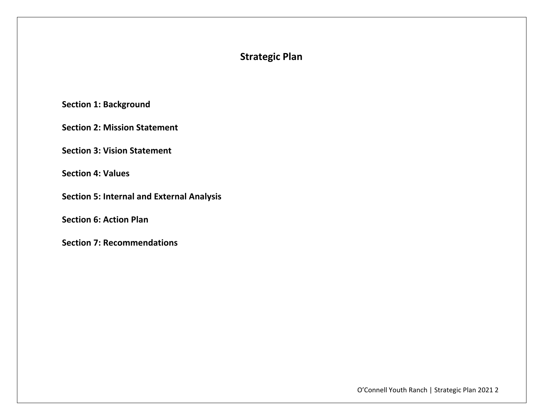# **Strategic Plan**

**Section 1: Background**

**Section 2: Mission Statement**

**Section 3: Vision Statement**

**Section 4: Values**

**Section 5: Internal and External Analysis**

**Section 6: Action Plan**

**Section 7: Recommendations**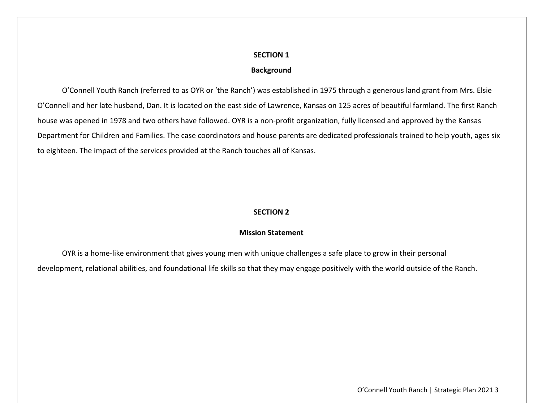### **Background**

O'Connell Youth Ranch (referred to as OYR or 'the Ranch') was established in 1975 through <sup>a</sup> generous land grant from Mrs. Elsie O'Connell and her late husband, Dan. It is located on the east side of Lawrence, Kansas on 125 acres of beautiful farmland. The first Ranch house was opened in 1978 and two others have followed. OYR is <sup>a</sup> non‐profit organization, fully licensed and approved by the Kansas Department for Children and Families. The case coordinators and house parents are dedicated professionals trained to help youth, ages six to eighteen. The impact of the services provided at the Ranch touches all of Kansas.

## **SECTION 2**

### **Mission Statement**

OYR is <sup>a</sup> home‐like environment that gives young men with unique challenges <sup>a</sup> safe place to grow in their personal development, relational abilities, and foundational life skills so that they may engage positively with the world outside of the Ranch.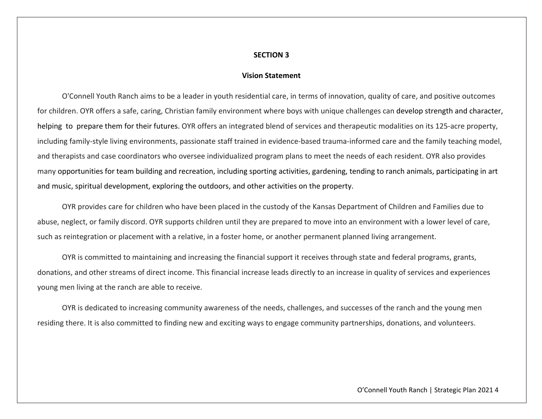#### **Vision Statement**

O'Connell Youth Ranch aims to be <sup>a</sup> leader in youth residential care, in terms of innovation, quality of care, and positive outcomes for children. OYR offers <sup>a</sup> safe, caring, Christian family environment where boys with unique challenges can develop strength and character, helping to prepare them for their futures. OYR offers an integrated blend of services and therapeutic modalities on its 125-acre property, including family-style living environments, passionate staff trained in evidence-based trauma-informed care and the family teaching model, and therapists and case coordinators who oversee individualized program plans to meet the needs of each resident. OYR also provides many opportunities for team building and recreation, including sporting activities, gardening, tending to ranch animals, participating in art and music, spiritual development, exploring the outdoors, and other activities on the property.

OYR provides care for children who have been placed in the custody of the Kansas Department of Children and Families due to abuse, neglect, or family discord. OYR supports children until they are prepared to move into an environment with <sup>a</sup> lower level of care, such as reintegration or placement with <sup>a</sup> relative, in <sup>a</sup> foster home, or another permanent planned living arrangement.

OYR is committed to maintaining and increasing the financial support it receives through state and federal programs, grants, donations, and other streams of direct income. This financial increase leads directly to an increase in quality of services and experiences young men living at the ranch are able to receive.

OYR is dedicated to increasing community awareness of the needs, challenges, and successes of the ranch and the young men residing there. It is also committed to finding new and exciting ways to engage community partnerships, donations, and volunteers.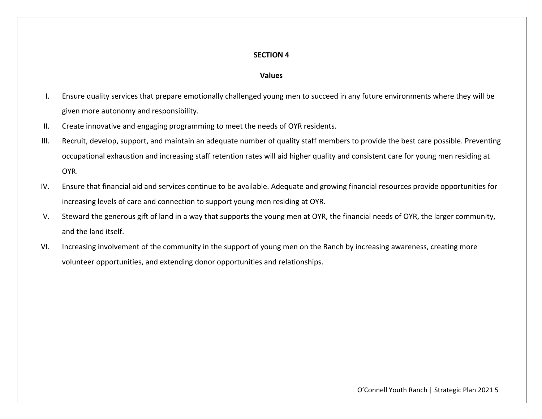### **Values**

- I. Ensure quality services that prepare emotionally challenged young men to succeed in any future environments where they will be given more autonomy and responsibility.
- II.Create innovative and engaging programming to meet the needs of OYR residents.
- III. Recruit, develop, support, and maintain an adequate number of quality staff members to provide the best care possible. Preventing occupational exhaustion and increasing staff retention rates will aid higher quality and consistent care for young men residing at OYR.
- IV. Ensure that financial aid and services continue to be available. Adequate and growing financial resources provide opportunities for increasing levels of care and connection to support young men residing at OYR.
- V. Steward the generous gift of land in <sup>a</sup> way that supports the young men at OYR, the financial needs of OYR, the larger community, and the land itself.
- VI. Increasing involvement of the community in the support of young men on the Ranch by increasing awareness, creating more volunteer opportunities, and extending donor opportunities and relationships.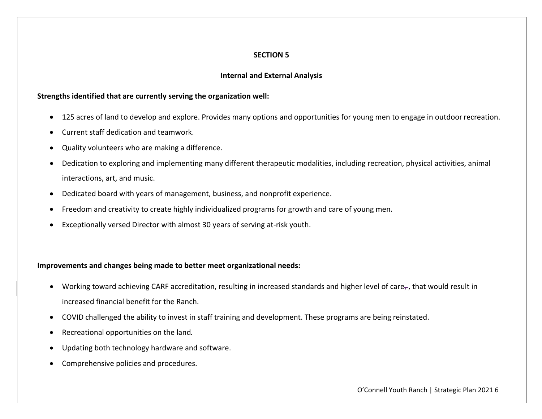### **Internal and External Analysis**

### **Strengths identified that are currently serving the organization well:**

- 125 acres of land to develop and explore. Provides many options and opportunities for young men to engage in outdoorrecreation.
- Current staff dedication and teamwork.
- 0 Quality volunteers who are making <sup>a</sup> difference.
- 0 Dedication to exploring and implementing many different therapeutic modalities, including recreation, physical activities, animal interactions, art, and music.
- $\bullet$ Dedicated board with years of management, business, and nonprofit experience.
- Freedom and creativity to create highly individualized programs for growth and care of young men.
- 0 Exceptionally versed Director with almost 30 years of serving at‐risk youth.

## **Improvements and changes being made to better meet organizational needs:**

- $\bullet$  Working toward achieving CARF accreditation, resulting in increased standards and higher level of care $_\tau$ , that would result in increased financial benefit for the Ranch.
- COVID challenged the ability to invest in staff training and development. These programs are being reinstated.
- 0 Recreational opportunities on the land.
- 0 Updating both technology hardware and software.
- Comprehensive policies and procedures.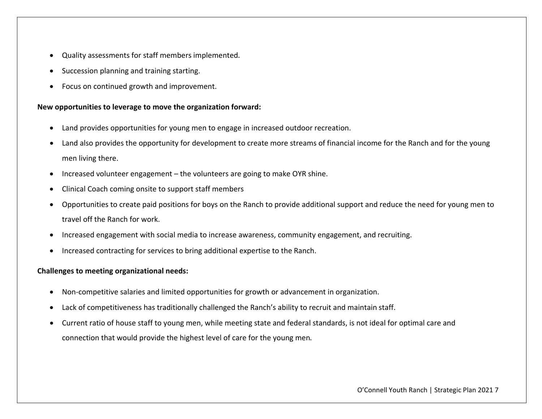- Quality assessments for staff members implemented.
- **•** Succession planning and training starting.
- Focus on continued growth and improvement.

## **New opportunities to leverage to move the organization forward:**

- Land provides opportunities for young men to engage in increased outdoor recreation.
- 0 Land also provides the opportunity for development to create more streams of financial income for the Ranch and for the young men living there.
- 0 **•** Increased volunteer engagement – the volunteers are going to make OYR shine.
- Clinical Coach coming onsite to support staff members
- 0 Opportunities to create paid positions for boys on the Ranch to provide additional support and reduce the need for young men to travel off the Ranch for work.
- $\bullet$ Increased engagement with social media to increase awareness, community engagement, and recruiting.
- **•** Increased contracting for services to bring additional expertise to the Ranch.

## **Challenges to meeting organizational needs:**

- 0 Non‐competitive salaries and limited opportunities for growth or advancement in organization.
- Lack of competitiveness has traditionally challenged the Ranch's ability to recruit and maintain staff.
- Current ratio of house staff to young men, while meeting state and federal standards, is not ideal for optimal care and connection that would provide the highest level of care for the young men.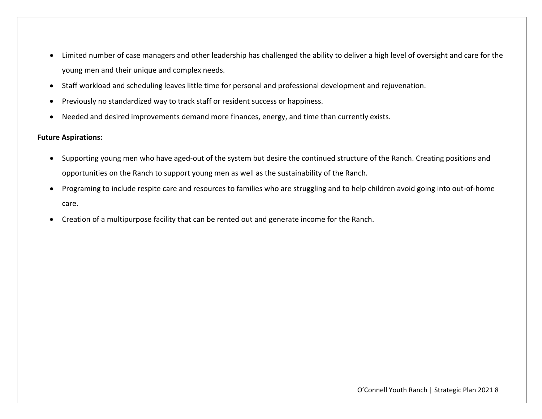- Limited number of case managers and other leadership has challenged the ability to deliver <sup>a</sup> high level of oversight and care for the young men and their unique and complex needs.
- $\bullet$ Staff workload and scheduling leaves little time for personal and professional development and rejuvenation.
- 0 Previously no standardized way to track staff or resident success or happiness.
- Needed and desired improvements demand more finances, energy, and time than currently exists.

## **Future Aspirations:**

- Supporting young men who have aged-out of the system but desire the continued structure of the Ranch. Creating positions and opportunities on the Ranch to support young men as well as the sustainability of the Ranch.
- Programing to include respite care and resources to families who are struggling and to help children avoid going into out-of-home care.
- $\bullet$ Creation of <sup>a</sup> multipurpose facility that can be rented out and generate income for the Ranch.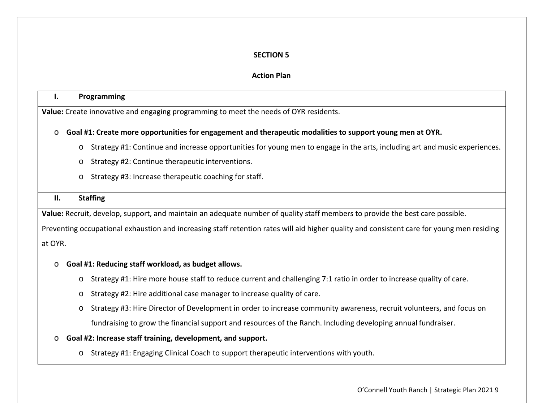## **Action Plan**

#### **I.Programming**

**Value:** Create innovative and engaging programming to meet the needs of OYR residents.

## o **Goal #1: Create more opportunities for engagement and therapeutic modalities to support young men at OYR.**

- o Strategy #1: Continue and increase opportunities for young men to engage in the arts, including art and music experiences.
- o Strategy #2: Continue therapeutic interventions.
- o Strategy #3: Increase therapeutic coaching for staff.

#### **II.Staffing**

**Value:** Recruit, develop, support, and maintain an adequate number of quality staff members to provide the best care possible.

Preventing occupational exhaustion and increasing staff retention rates will aid higher quality and consistent care for young men residing at OYR.

## o **Goal #1: Reducing staff workload, as budget allows.**

- o Strategy #1: Hire more house staff to reduce current and challenging 7:1 ratio in order to increase quality of care.
- o Strategy #2: Hire additional case manager to increase quality of care.
- o Strategy #3: Hire Director of Development in order to increase community awareness, recruit volunteers, and focus on fundraising to grow the financial support and resources of the Ranch. Including developing annual fundraiser.

## o **Goal #2: Increase staff training, development, and support.**

o Strategy #1: Engaging Clinical Coach to support therapeutic interventions with youth.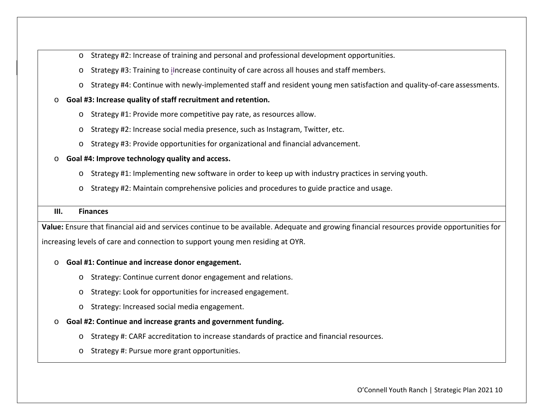- oStrategy #2: Increase of training and personal and professional development opportunities.
- oStrategy #3: Training to iIncrease continuity of care across all houses and staff members.
- o Strategy #4: Continue with newly‐implemented staff and resident young men satisfaction and quality‐of‐care assessments.

#### o**Goal #3: Increase quality of staff recruitment and retention.**

- o Strategy #1: Provide more competitive pay rate, as resources allow.
- o Strategy #2: Increase social media presence, such as Instagram, Twitter, etc.
- o Strategy #3: Provide opportunities for organizational and financial advancement.

### o **Goal #4: Improve technology quality and access.**

- o Strategy #1: Implementing new software in order to keep up with industry practices in serving youth.
- oStrategy #2: Maintain comprehensive policies and procedures to guide practice and usage.

#### **III.Finances**

**Value:** Ensure that financial aid and services continue to be available. Adequate and growing financial resources provide opportunities for

increasing levels of care and connection to support young men residing at OYR.

#### o**Goal #1: Continue and increase donor engagement.**

- o Strategy: Continue current donor engagement and relations.
- oStrategy: Look for opportunities for increased engagement.
- o Strategy: Increased social media engagement.

#### o**Goal #2: Continue and increase grants and government funding.**

- o Strategy #: CARF accreditation to increase standards of practice and financial resources.
- o Strategy #: Pursue more grant opportunities.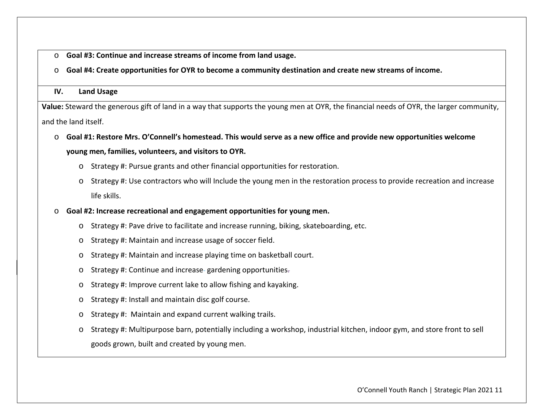- o**Goal #3: Continue and increase streams of income from land usage.**
- $\circ$  Goal #4: Create opportunities for OYR to become a community destination and create new streams of income.

#### **IV.Land Usage**

**Value:** Steward the generous gift of land in <sup>a</sup> way that supports the young men at OYR, the financial needs of OYR, the larger community, and the land itself.

- $\circ$  Goal #1: Restore Mrs. O'Connell's homestead. This would serve as a new office and provide new opportunities welcome **young men, families, volunteers, and visitors to OYR.**
	- o Strategy #: Pursue grants and other financial opportunities for restoration.
	- o Strategy #: Use contractors who will Include the young men in the restoration process to provide recreation and increase life skills.
- o **Goal #2: Increase recreational and engagement opportunities for young men.**
	- o Strategy #: Pave drive to facilitate and increase running, biking, skateboarding, etc.
	- o Strategy #: Maintain and increase usage of soccer field.
	- oStrategy #: Maintain and increase playing time on basketball court.
	- oStrategy #: Continue and increase gardening opportunities.
	- oStrategy #: Improve current lake to allow fishing and kayaking.
	- oStrategy #: Install and maintain disc golf course.
	- oStrategy #: Maintain and expand current walking trails.
	- o Strategy #: Multipurpose barn, potentially including <sup>a</sup> workshop, industrial kitchen, indoor gym, and store front to sell goods grown, built and created by young men.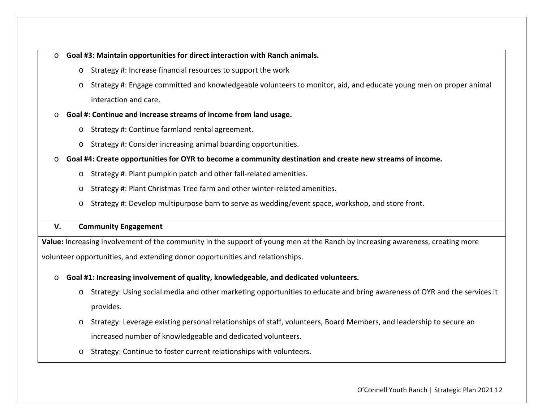#### o**Goal #3: Maintain opportunities for direct interaction with Ranch animals.**

- o Strategy #: Increase financial resources to support the work
- o Strategy #: Engage committed and knowledgeable volunteers to monitor, aid, and educate young men on proper animal interaction and care.

#### o**Goal #: Continue and increase streams of income from land usage.**

- o Strategy #: Continue farmland rental agreement.
- o Strategy #: Consider increasing animal boarding opportunities.
- $\circ$  Goal #4: Create opportunities for OYR to become a community destination and create new streams of income.
	- o Strategy #: Plant pumpkin patch and other fall‐related amenities.
	- o Strategy #: Plant Christmas Tree farm and other winter‐related amenities.
	- o Strategy #: Develop multipurpose barn to serve as wedding/event space, workshop, and store front.

#### **V.Community Engagement**

**Value:** Increasing involvement of the community in the support of young men at the Ranch by increasing awareness, creating more volunteer opportunities, and extending donor opportunities and relationships.

#### o**Goal #1: Increasing involvement of quality, knowledgeable, and dedicated volunteers.**

- o Strategy: Using social media and other marketing opportunities to educate and bring awareness of OYR and the services it provides.
- o Strategy: Leverage existing personal relationships of staff, volunteers, Board Members, and leadership to secure an increased number of knowledgeable and dedicated volunteers.
- o Strategy: Continue to foster current relationships with volunteers.